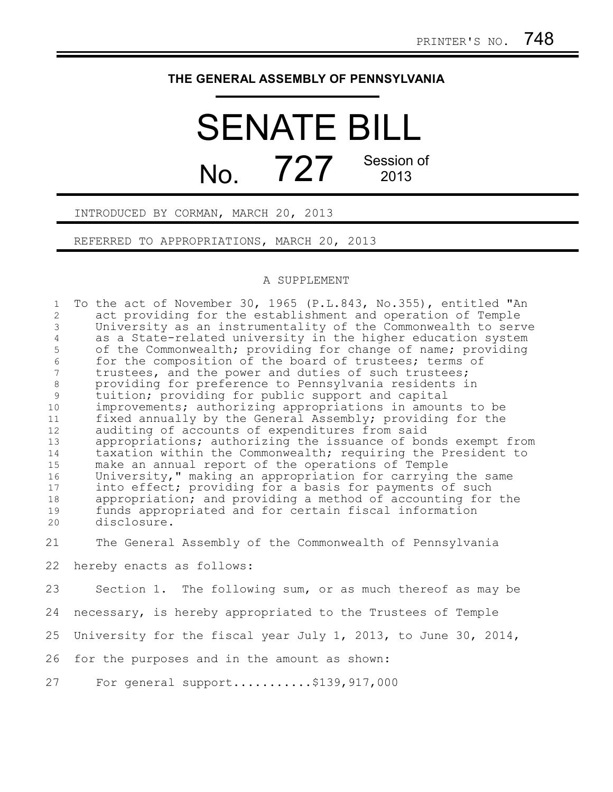## **THE GENERAL ASSEMBLY OF PENNSYLVANIA**

## SENATE BILL  $N_o$   $727$  Session of 2013

INTRODUCED BY CORMAN, MARCH 20, 2013

REFERRED TO APPROPRIATIONS, MARCH 20, 2013

## A SUPPLEMENT

To the act of November 30, 1965 (P.L.843, No.355), entitled "An act providing for the establishment and operation of Temple University as an instrumentality of the Commonwealth to serve as a State-related university in the higher education system of the Commonwealth; providing for change of name; providing for the composition of the board of trustees; terms of trustees, and the power and duties of such trustees; providing for preference to Pennsylvania residents in tuition; providing for public support and capital improvements; authorizing appropriations in amounts to be fixed annually by the General Assembly; providing for the auditing of accounts of expenditures from said appropriations; authorizing the issuance of bonds exempt from taxation within the Commonwealth; requiring the President to make an annual report of the operations of Temple University," making an appropriation for carrying the same into effect; providing for a basis for payments of such appropriation; and providing a method of accounting for the funds appropriated and for certain fiscal information disclosure. 1 2 3 4 5 6 7 8 9 10 11 12 13 14 15 16 17 18 19 20

The General Assembly of the Commonwealth of Pennsylvania 21

hereby enacts as follows: 22

Section 1. The following sum, or as much thereof as may be 23

necessary, is hereby appropriated to the Trustees of Temple 24

University for the fiscal year July 1, 2013, to June 30, 2014, 25

for the purposes and in the amount as shown: 26

For general support...........\$139,917,000 27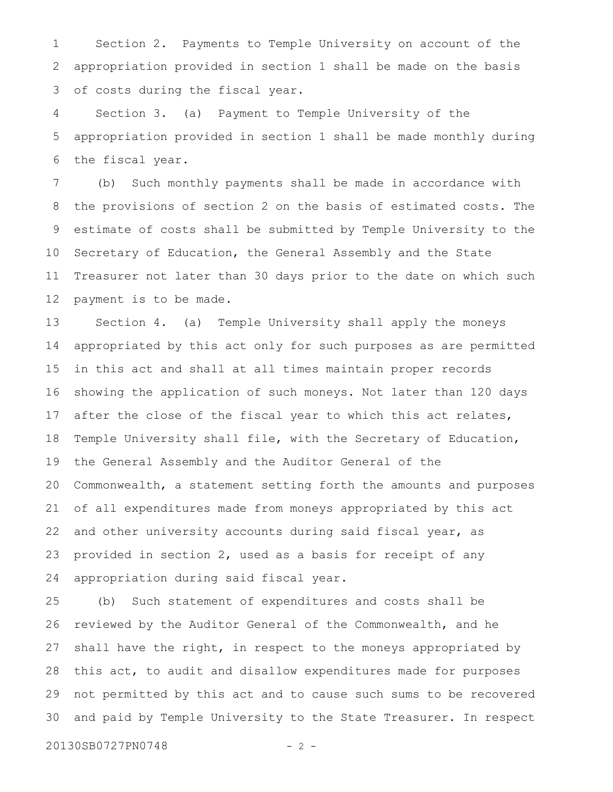Section 2. Payments to Temple University on account of the appropriation provided in section 1 shall be made on the basis of costs during the fiscal year. 1 2 3

Section 3. (a) Payment to Temple University of the appropriation provided in section 1 shall be made monthly during the fiscal year. 4 5 6

(b) Such monthly payments shall be made in accordance with the provisions of section 2 on the basis of estimated costs. The estimate of costs shall be submitted by Temple University to the Secretary of Education, the General Assembly and the State Treasurer not later than 30 days prior to the date on which such payment is to be made. 7 8 9 10 11 12

Section 4. (a) Temple University shall apply the moneys appropriated by this act only for such purposes as are permitted in this act and shall at all times maintain proper records showing the application of such moneys. Not later than 120 days after the close of the fiscal year to which this act relates, Temple University shall file, with the Secretary of Education, the General Assembly and the Auditor General of the Commonwealth, a statement setting forth the amounts and purposes of all expenditures made from moneys appropriated by this act and other university accounts during said fiscal year, as provided in section 2, used as a basis for receipt of any appropriation during said fiscal year. 13 14 15 16 17 18 19 20 21 22 23 24

(b) Such statement of expenditures and costs shall be reviewed by the Auditor General of the Commonwealth, and he shall have the right, in respect to the moneys appropriated by this act, to audit and disallow expenditures made for purposes not permitted by this act and to cause such sums to be recovered and paid by Temple University to the State Treasurer. In respect 25 26 27 28 29 30

20130SB0727PN0748 - 2 -